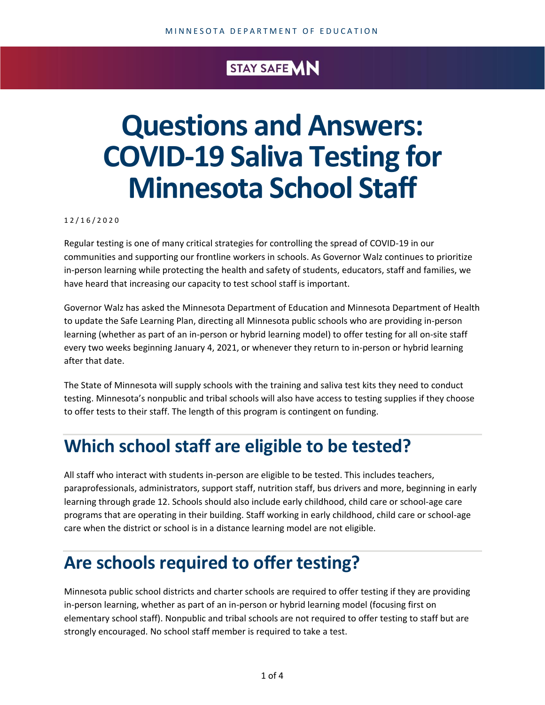#### STAY SAFE MN

# **Questions and Answers: COVID-19 Saliva Testing for Minnesota School Staff**

1 2 / 1 6 / 2 0 2 0

Regular testing is one of many critical strategies for controlling the spread of COVID-19 in our communities and supporting our frontline workers in schools. As Governor Walz continues to prioritize in-person learning while protecting the health and safety of students, educators, staff and families, we have heard that increasing our capacity to test school staff is important.

Governor Walz has asked the Minnesota Department of Education and Minnesota Department of Health to update the Safe Learning Plan, directing all Minnesota public schools who are providing in-person learning (whether as part of an in-person or hybrid learning model) to offer testing for all on-site staff every two weeks beginning January 4, 2021, or whenever they return to in-person or hybrid learning after that date.

The State of Minnesota will supply schools with the training and saliva test kits they need to conduct testing. Minnesota's nonpublic and tribal schools will also have access to testing supplies if they choose to offer tests to their staff. The length of this program is contingent on funding.

## **Which school staff are eligible to be tested?**

All staff who interact with students in-person are eligible to be tested. This includes teachers, paraprofessionals, administrators, support staff, nutrition staff, bus drivers and more, beginning in early learning through grade 12. Schools should also include early childhood, child care or school-age care programs that are operating in their building. Staff working in early childhood, child care or school-age care when the district or school is in a distance learning model are not eligible.

## **Are schools required to offer testing?**

Minnesota public school districts and charter schools are required to offer testing if they are providing in-person learning, whether as part of an in-person or hybrid learning model (focusing first on elementary school staff). Nonpublic and tribal schools are not required to offer testing to staff but are strongly encouraged. No school staff member is required to take a test.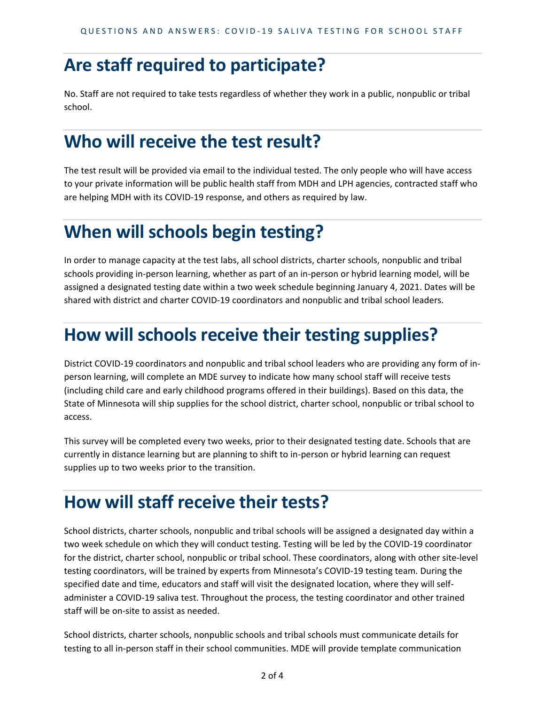#### **Are staff required to participate?**

No. Staff are not required to take tests regardless of whether they work in a public, nonpublic or tribal school.

## **Who will receive the test result?**

The test result will be provided via email to the individual tested. The only people who will have access to your private information will be public health staff from MDH and LPH agencies, contracted staff who are helping MDH with its COVID-19 response, and others as required by law.

## **When will schools begin testing?**

In order to manage capacity at the test labs, all school districts, charter schools, nonpublic and tribal schools providing in-person learning, whether as part of an in-person or hybrid learning model, will be assigned a designated testing date within a two week schedule beginning January 4, 2021. Dates will be shared with district and charter COVID-19 coordinators and nonpublic and tribal school leaders.

## **How will schools receive their testing supplies?**

District COVID-19 coordinators and nonpublic and tribal school leaders who are providing any form of inperson learning, will complete an MDE survey to indicate how many school staff will receive tests (including child care and early childhood programs offered in their buildings). Based on this data, the State of Minnesota will ship supplies for the school district, charter school, nonpublic or tribal school to access.

This survey will be completed every two weeks, prior to their designated testing date. Schools that are currently in distance learning but are planning to shift to in-person or hybrid learning can request supplies up to two weeks prior to the transition.

## **How will staff receive their tests?**

School districts, charter schools, nonpublic and tribal schools will be assigned a designated day within a two week schedule on which they will conduct testing. Testing will be led by the COVID-19 coordinator for the district, charter school, nonpublic or tribal school. These coordinators, along with other site-level testing coordinators, will be trained by experts from Minnesota's COVID-19 testing team. During the specified date and time, educators and staff will visit the designated location, where they will selfadminister a COVID-19 saliva test. Throughout the process, the testing coordinator and other trained staff will be on-site to assist as needed.

School districts, charter schools, nonpublic schools and tribal schools must communicate details for testing to all in-person staff in their school communities. MDE will provide template communication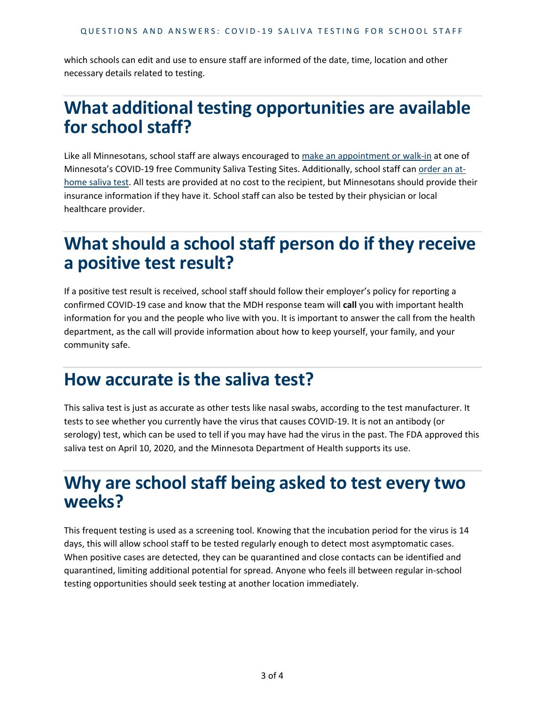which schools can edit and use to ensure staff are informed of the date, time, location and other necessary details related to testing.

#### **What additional testing opportunities are available for school staff?**

Like all Minnesotans, school staff are always encouraged to [make an appointment or walk-in](https://mn.gov/covid19/for-minnesotans/if-sick/testing-locations/index.jsp) at one of Minnesota's COVID-19 free Community Saliva Testing Sites. Additionally, school staff can [order an at](https://www.health.state.mn.us/diseases/coronavirus/testsites/athome.html)[home saliva test.](https://www.health.state.mn.us/diseases/coronavirus/testsites/athome.html) All tests are provided at no cost to the recipient, but Minnesotans should provide their insurance information if they have it. School staff can also be tested by their physician or local healthcare provider.

## **What should a school staff person do if they receive a positive test result?**

If a positive test result is received, school staff should follow their employer's policy for reporting a confirmed COVID-19 case and know that the MDH response team will **call** you with important health information for you and the people who live with you. It is important to answer the call from the health department, as the call will provide information about how to keep yourself, your family, and your community safe.

#### **How accurate is the saliva test?**

This saliva test is just as accurate as other tests like nasal swabs, according to the test manufacturer. It tests to see whether you currently have the virus that causes COVID-19. It is not an antibody (or serology) test, which can be used to tell if you may have had the virus in the past. The FDA approved this saliva test on April 10, 2020, and the Minnesota Department of Health supports its use.

#### **Why are school staff being asked to test every two weeks?**

This frequent testing is used as a screening tool. Knowing that the incubation period for the virus is 14 days, this will allow school staff to be tested regularly enough to detect most asymptomatic cases. When positive cases are detected, they can be quarantined and close contacts can be identified and quarantined, limiting additional potential for spread. Anyone who feels ill between regular in-school testing opportunities should seek testing at another location immediately.